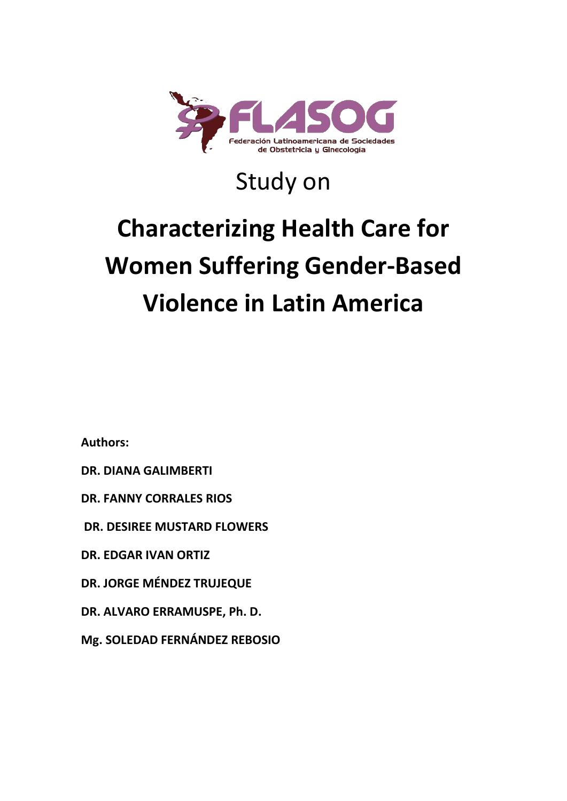

# Study on

# **Characterizing Health Care for Women Suffering Gender-Based Violence in Latin America**

**Authors:** 

- **DR. DIANA GALIMBERTI**
- **DR. FANNY CORRALES RIOS**
- **DR. DESIREE MUSTARD FLOWERS**
- **DR. EDGAR IVAN ORTIZ**
- **DR. JORGE MÉNDEZ TRUJEQUE**
- **DR. ALVARO ERRAMUSPE, Ph. D.**
- **Mg. SOLEDAD FERNÁNDEZ REBOSIO**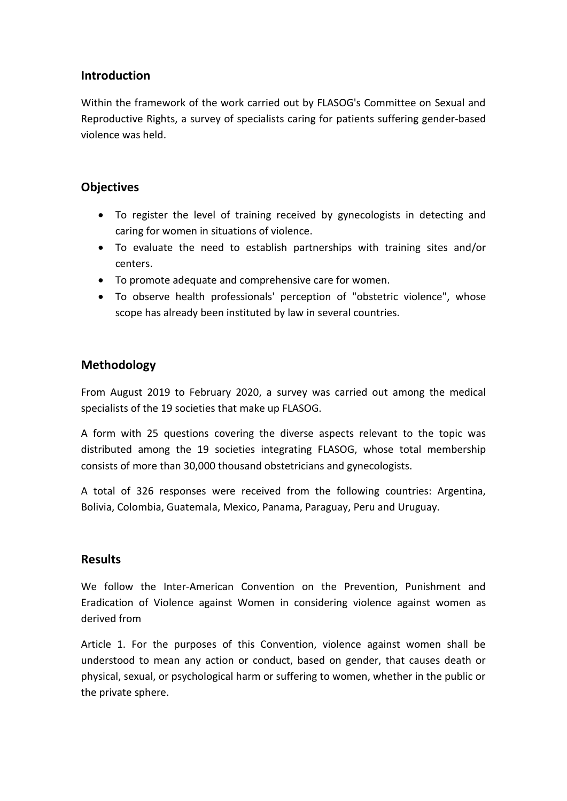### **Introduction**

Within the framework of the work carried out by FLASOG's Committee on Sexual and Reproductive Rights, a survey of specialists caring for patients suffering gender-based violence was held.

# **Objectives**

- To register the level of training received by gynecologists in detecting and caring for women in situations of violence.
- To evaluate the need to establish partnerships with training sites and/or centers.
- To promote adequate and comprehensive care for women.
- To observe health professionals' perception of "obstetric violence", whose scope has already been instituted by law in several countries.

# **Methodology**

From August 2019 to February 2020, a survey was carried out among the medical specialists of the 19 societies that make up FLASOG.

A form with 25 questions covering the diverse aspects relevant to the topic was distributed among the 19 societies integrating FLASOG, whose total membership consists of more than 30,000 thousand obstetricians and gynecologists.

A total of 326 responses were received from the following countries: Argentina, Bolivia, Colombia, Guatemala, Mexico, Panama, Paraguay, Peru and Uruguay.

### **Results**

We follow the Inter-American Convention on the Prevention, Punishment and Eradication of Violence against Women in considering violence against women as derived from

Article 1. For the purposes of this Convention, violence against women shall be understood to mean any action or conduct, based on gender, that causes death or physical, sexual, or psychological harm or suffering to women, whether in the public or the private sphere.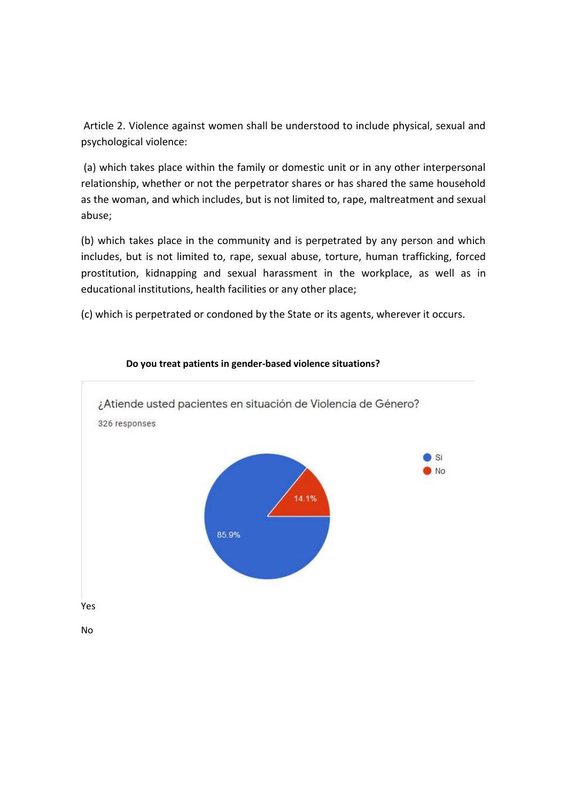Article 2. Violence against women shall be understood to include physical, sexual and psychological violence:

(a) which takes place within the family or domestic unit or in any other interpersonal relationship, whether or not the perpetrator shares or has shared the same household as the woman, and which includes, but is not limited to, rape, maltreatment and sexual abuse;

(b) which takes place in the community and is perpetrated by any person and which includes, but is not limited to, rape, sexual abuse, torture, human trafficking, forced prostitution, kidnapping and sexual harassment in the workplace, as well as in educational institutions, health facilities or any other place;

(c) which is perpetrated or condoned by the State or its agents, wherever it occurs.



#### **Do you treat patients in gender-based violence situations?**

No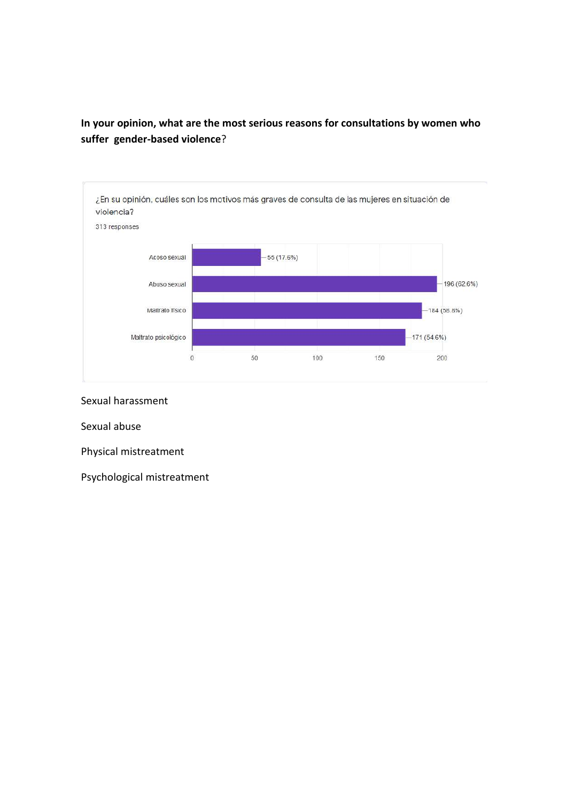# **In your opinion, what are the most serious reasons for consultations by women who suffer gender-based violence**?



Sexual harassment

Sexual abuse

Physical mistreatment

Psychological mistreatment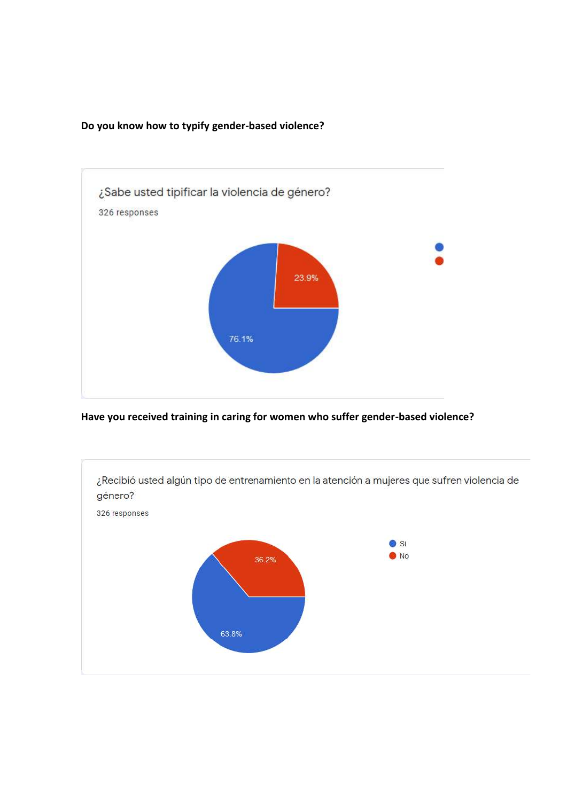

#### **Do you know how to typify gender-based violence?**

**Have you received training in caring for women who suffer gender-based violence?**

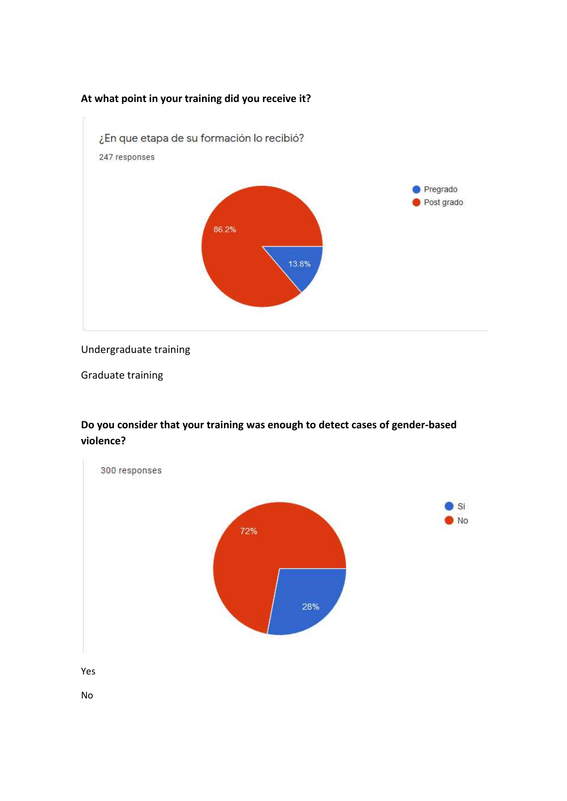#### **At what point in your training did you receive it?**



#### Undergraduate training

Graduate training

# **Do you consider that your training was enough to detect cases of gender-based violence?**

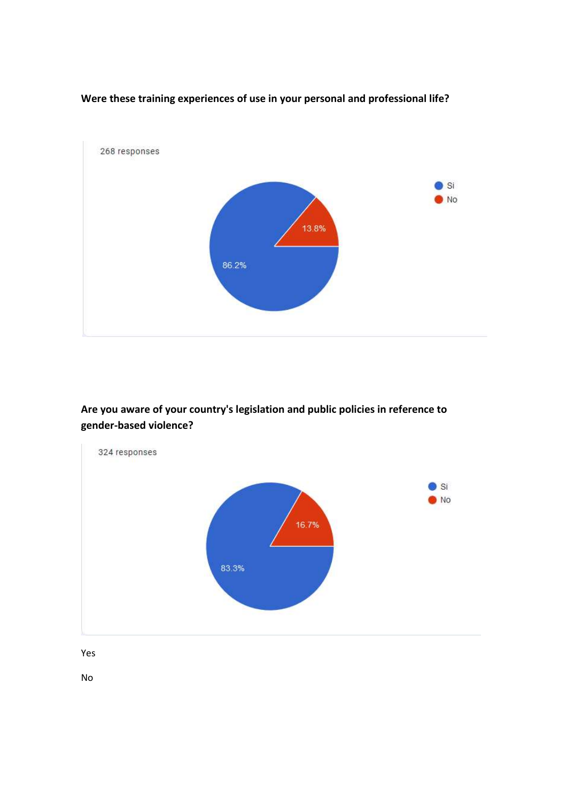

### **Were these training experiences of use in your personal and professional life?**

**Are you aware of your country's legislation and public policies in reference to gender-based violence?**



Yes

No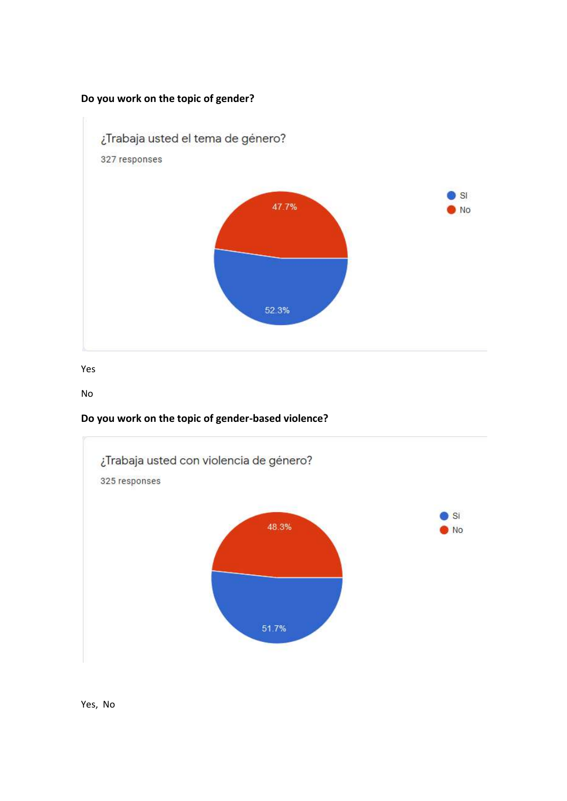#### **Do you work on the topic of gender?**



Yes

No

# **Do you work on the topic of gender-based violence?**



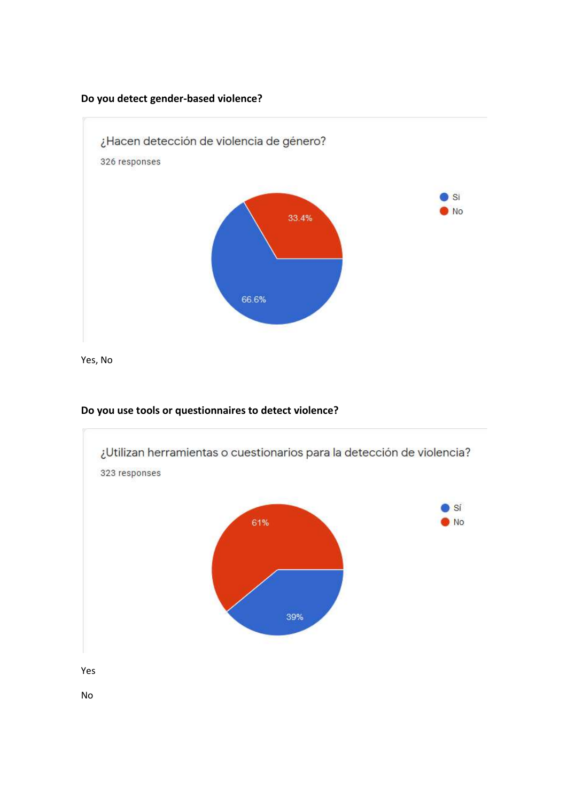#### **Do you detect gender-based violence?**



Yes, No



#### **Do you use tools or questionnaires to detect violence?**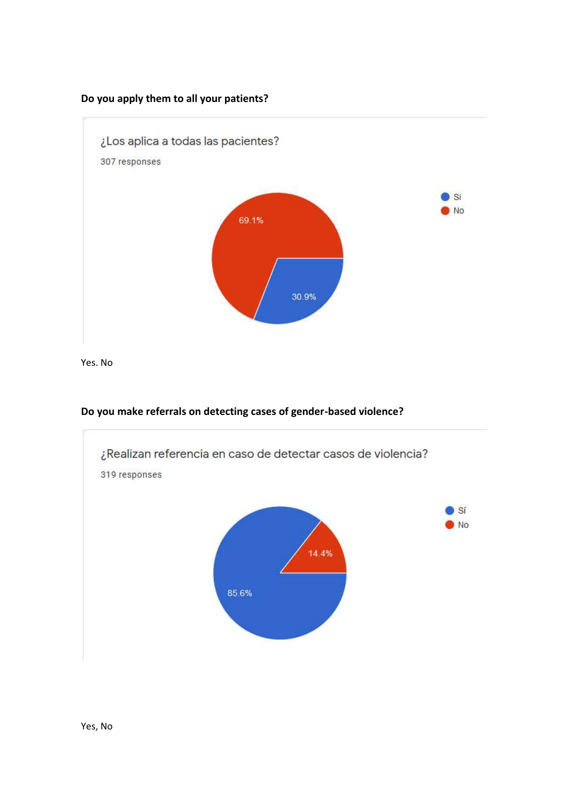#### **Do you apply them to all your patients?**



Yes. No



#### **Do you make referrals on detecting cases of gender-based violence?**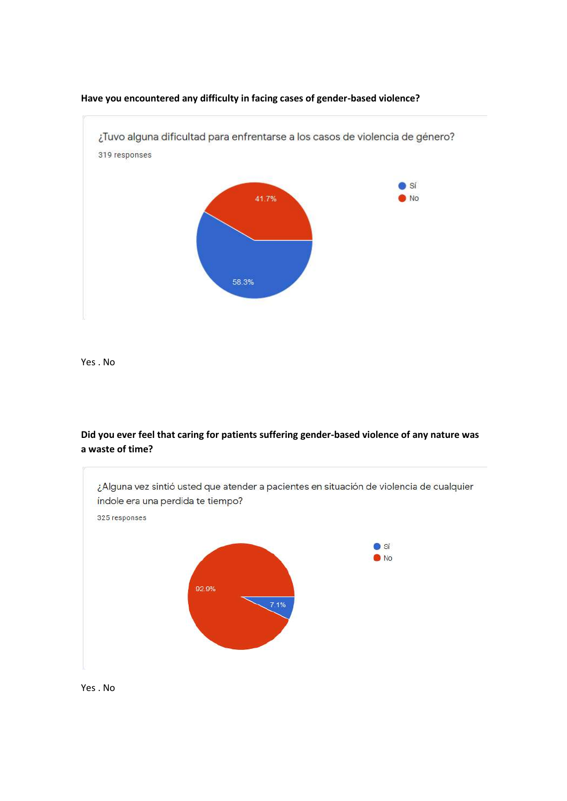

**Have you encountered any difficulty in facing cases of gender-based violence?**

Yes . No

**Did you ever feel that caring for patients suffering gender-based violence of any nature was a waste of time?**



Yes . No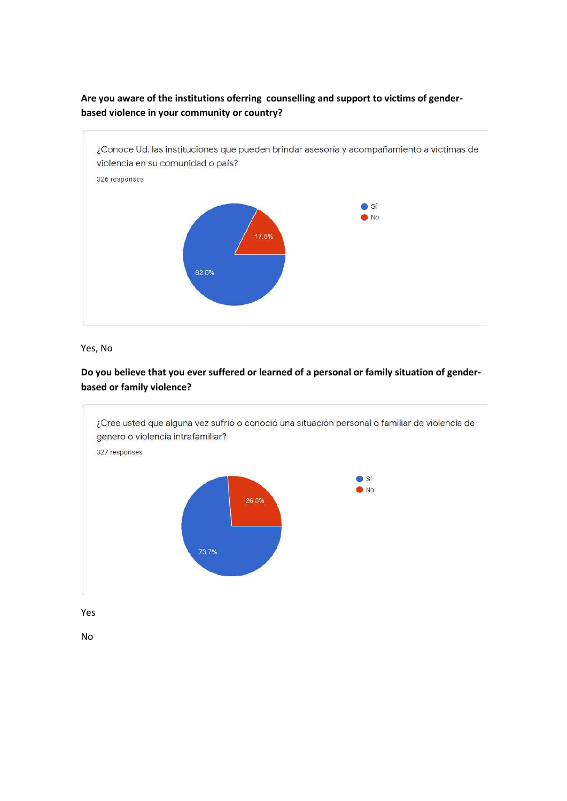#### **Are you aware of the institutions oferring counselling and support to victims of genderbased violence in your community or country?**



Yes, No

#### **Do you believe that you ever suffered or learned of a personal or family situation of genderbased or family violence?**

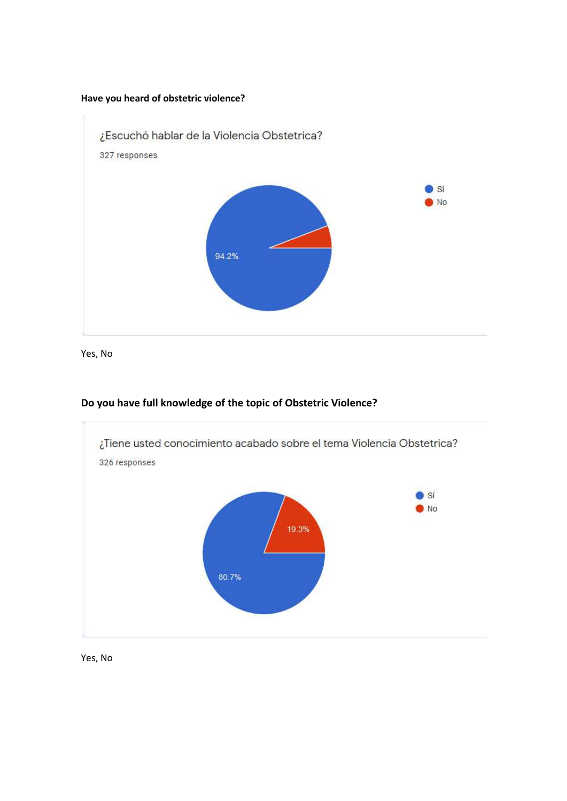#### **Have you heard of obstetric violence?**



Yes, No

# ¿Tiene usted conocimiento acabado sobre el tema Violencia Obstetrica? 326 responses Sí  $\bullet$ No 19.3% 80.7%

#### **Do you have full knowledge of the topic of Obstetric Violence?**

Yes, No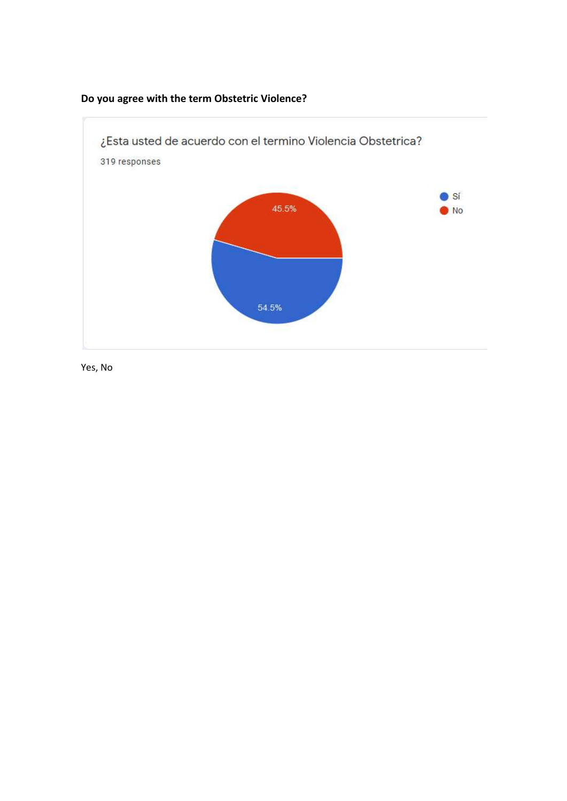

# **Do you agree with the term Obstetric Violence?**

Yes, No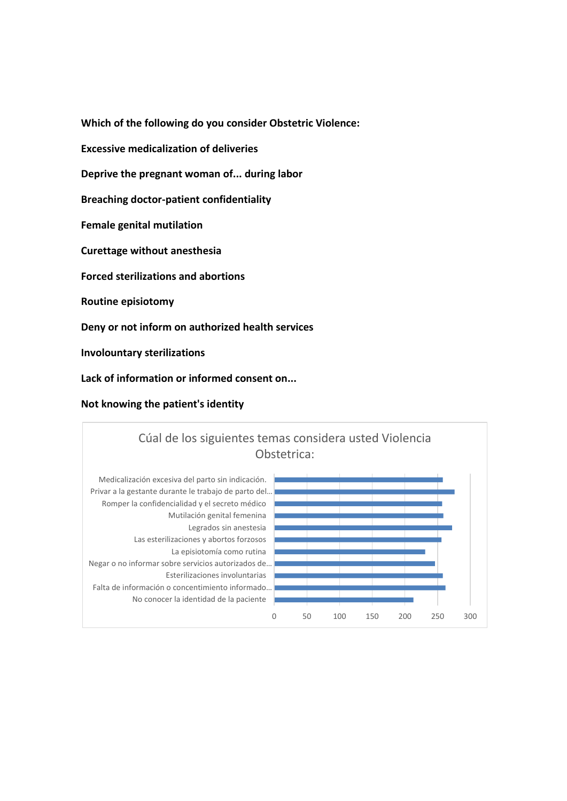**Which of the following do you consider Obstetric Violence: Excessive medicalization of deliveries Deprive the pregnant woman of... during labor Breaching doctor-patient confidentiality Female genital mutilation Curettage without anesthesia Forced sterilizations and abortions Routine episiotomy Deny or not inform on authorized health services Involountary sterilizations**

**Lack of information or informed consent on...**

**Not knowing the patient's identity**

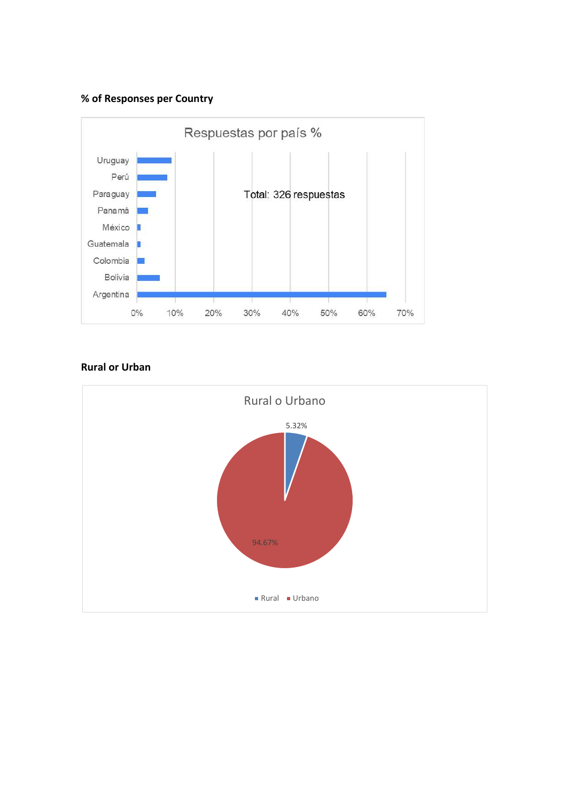#### **% of Responses per Country**



#### **Rural or Urban**

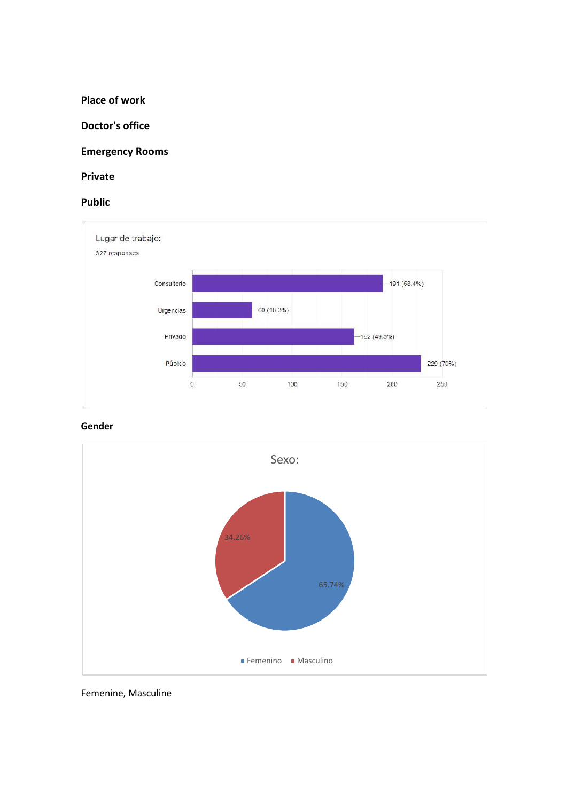**Place of work** 

**Doctor's office**

**Emergency Rooms**

**Private** 

**Public**



**Gender**



Femenine, Masculine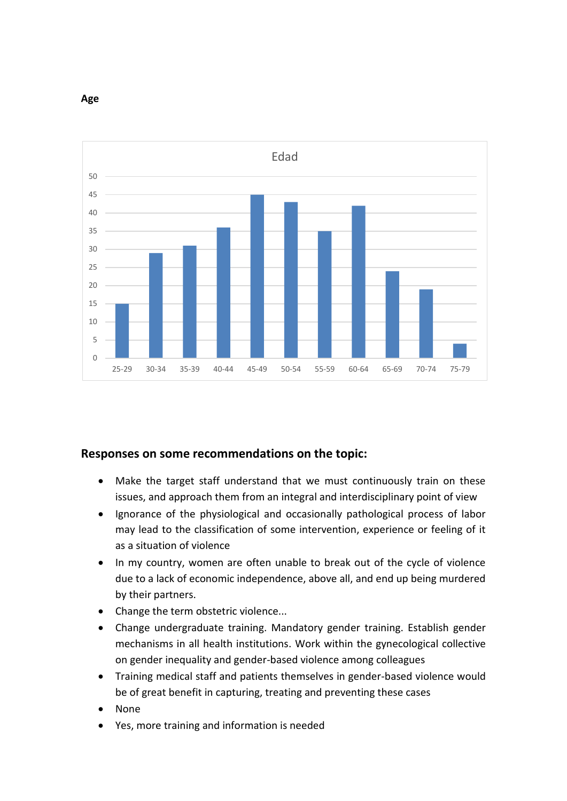

**Age**

### **Responses on some recommendations on the topic:**

- Make the target staff understand that we must continuously train on these issues, and approach them from an integral and interdisciplinary point of view
- Ignorance of the physiological and occasionally pathological process of labor may lead to the classification of some intervention, experience or feeling of it as a situation of violence
- In my country, women are often unable to break out of the cycle of violence due to a lack of economic independence, above all, and end up being murdered by their partners.
- Change the term obstetric violence...
- Change undergraduate training. Mandatory gender training. Establish gender mechanisms in all health institutions. Work within the gynecological collective on gender inequality and gender-based violence among colleagues
- Training medical staff and patients themselves in gender-based violence would be of great benefit in capturing, treating and preventing these cases
- None
- Yes, more training and information is needed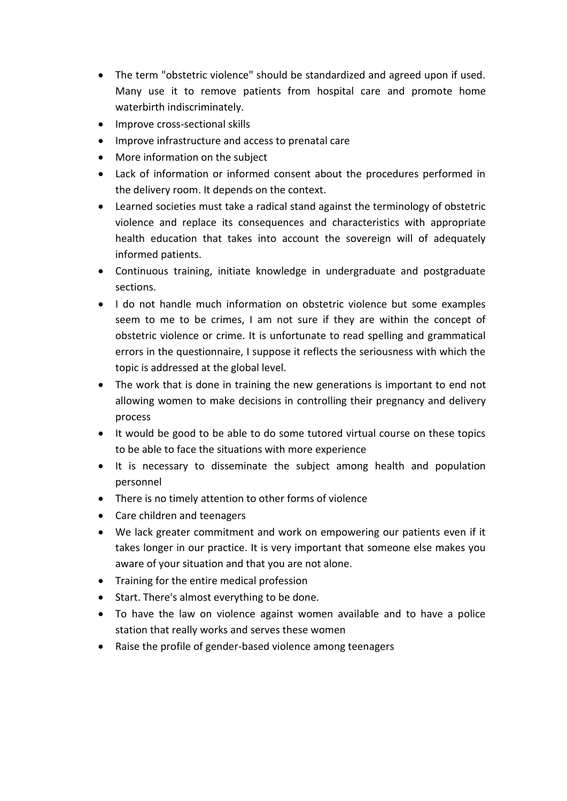- The term "obstetric violence" should be standardized and agreed upon if used. Many use it to remove patients from hospital care and promote home waterbirth indiscriminately.
- Improve cross-sectional skills
- Improve infrastructure and access to prenatal care
- More information on the subject
- Lack of information or informed consent about the procedures performed in the delivery room. It depends on the context.
- Learned societies must take a radical stand against the terminology of obstetric violence and replace its consequences and characteristics with appropriate health education that takes into account the sovereign will of adequately informed patients.
- Continuous training, initiate knowledge in undergraduate and postgraduate sections.
- I do not handle much information on obstetric violence but some examples seem to me to be crimes, I am not sure if they are within the concept of obstetric violence or crime. It is unfortunate to read spelling and grammatical errors in the questionnaire, I suppose it reflects the seriousness with which the topic is addressed at the global level.
- The work that is done in training the new generations is important to end not allowing women to make decisions in controlling their pregnancy and delivery process
- It would be good to be able to do some tutored virtual course on these topics to be able to face the situations with more experience
- It is necessary to disseminate the subject among health and population personnel
- There is no timely attention to other forms of violence
- Care children and teenagers
- We lack greater commitment and work on empowering our patients even if it takes longer in our practice. It is very important that someone else makes you aware of your situation and that you are not alone.
- Training for the entire medical profession
- Start. There's almost everything to be done.
- To have the law on violence against women available and to have a police station that really works and serves these women
- Raise the profile of gender-based violence among teenagers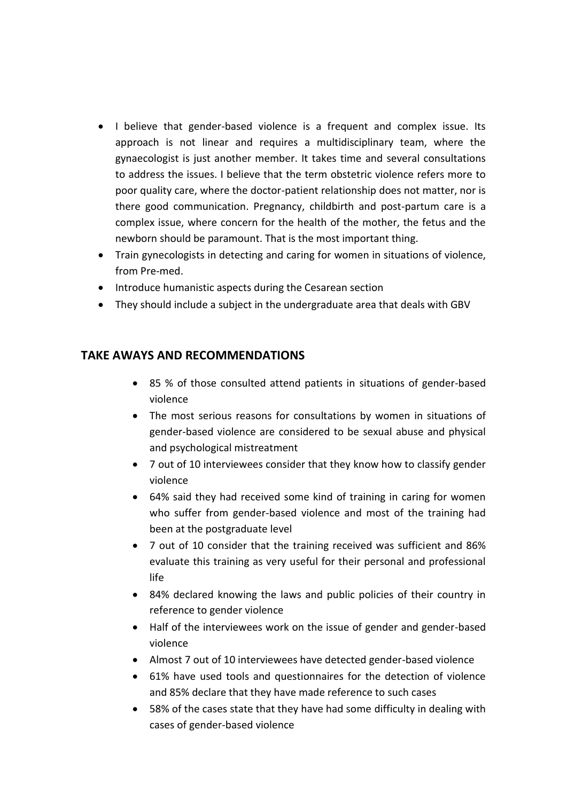- I believe that gender-based violence is a frequent and complex issue. Its approach is not linear and requires a multidisciplinary team, where the gynaecologist is just another member. It takes time and several consultations to address the issues. I believe that the term obstetric violence refers more to poor quality care, where the doctor-patient relationship does not matter, nor is there good communication. Pregnancy, childbirth and post-partum care is a complex issue, where concern for the health of the mother, the fetus and the newborn should be paramount. That is the most important thing.
- Train gynecologists in detecting and caring for women in situations of violence, from Pre-med.
- Introduce humanistic aspects during the Cesarean section
- They should include a subject in the undergraduate area that deals with GBV

# **TAKE AWAYS AND RECOMMENDATIONS**

- 85 % of those consulted attend patients in situations of gender-based violence
- The most serious reasons for consultations by women in situations of gender-based violence are considered to be sexual abuse and physical and psychological mistreatment
- 7 out of 10 interviewees consider that they know how to classify gender violence
- 64% said they had received some kind of training in caring for women who suffer from gender-based violence and most of the training had been at the postgraduate level
- 7 out of 10 consider that the training received was sufficient and 86% evaluate this training as very useful for their personal and professional life
- 84% declared knowing the laws and public policies of their country in reference to gender violence
- Half of the interviewees work on the issue of gender and gender-based violence
- Almost 7 out of 10 interviewees have detected gender-based violence
- 61% have used tools and questionnaires for the detection of violence and 85% declare that they have made reference to such cases
- 58% of the cases state that they have had some difficulty in dealing with cases of gender-based violence